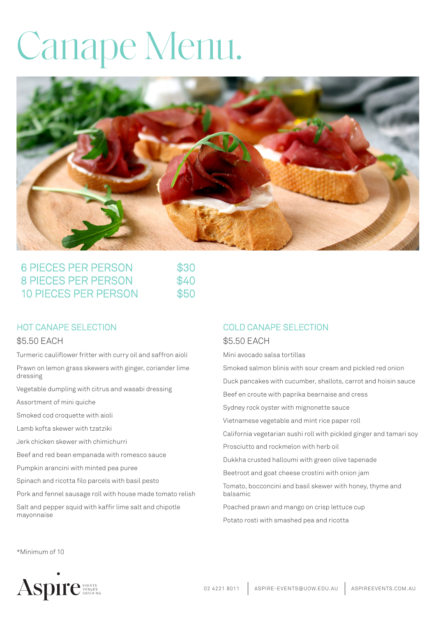# Canape Menu.



| <b>6 PIECES PER PERSON</b><br>8 PIECES PER PERSON<br><b>10 PIECES PER PERSON</b> | \$30<br>\$40<br>\$50 |
|----------------------------------------------------------------------------------|----------------------|
|----------------------------------------------------------------------------------|----------------------|

### HOT CANAPE SELECTION

#### \$5.50 EACH

Turmeric cauliflower fritter with curry oil and saffron aioli

Prawn on lemon grass skewers with ginger, coriander lime dressing

Vegetable dumpling with citrus and wasabi dressing

Assortment of mini quiche

Smoked cod croquette with aioli

Lamb kofta skewer with tzatziki

Jerk chicken skewer with chimichurri

Beef and red bean empanada with romesco sauce

Pumpkin arancini with minted pea puree

Spinach and ricotta filo parcels with basil pesto

Pork and fennel sausage roll with house made tomato relish

Salt and pepper squid with kaffir lime salt and chipotle mayonnaise

### COLD CANAPE SELECTION

#### \$5.50 EACH

Mini avocado salsa tortillas

Smoked salmon blinis with sour cream and pickled red onion

Duck pancakes with cucumber, shallots, carrot and hoisin sauce

Beef en croute with paprika bearnaise and cress

Sydney rock oyster with mignonette sauce

Vietnamese vegetable and mint rice paper roll

California vegetarian sushi roll with pickled ginger and tamari soy

Prosciutto and rockmelon with herb oil

Dukkha crusted halloumi with green olive tapenade

Beetroot and goat cheese crostini with onion jam

Tomato, bocconcini and basil skewer with honey, thyme and balsamic

Poached prawn and mango on crisp lettuce cup

Potato rosti with smashed pea and ricotta

\*Minimum of 10